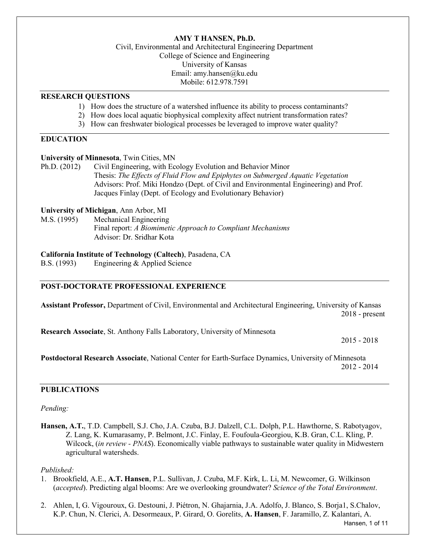# **AMY T HANSEN, Ph.D.**

Civil, Environmental and Architectural Engineering Department College of Science and Engineering University of Kansas Email: amy.hansen@ku.edu Mobile: 612.978.7591

#### **RESEARCH QUESTIONS**

- 1) How does the structure of a watershed influence its ability to process contaminants?
- 2) How does local aquatic biophysical complexity affect nutrient transformation rates?
- 3) How can freshwater biological processes be leveraged to improve water quality?

# **EDUCATION**

### **University of Minnesota**, Twin Cities, MN

Ph.D. (2012) Civil Engineering, with Ecology Evolution and Behavior Minor Thesis: *The Effects of Fluid Flow and Epiphytes on Submerged Aquatic Vegetation* Advisors: Prof. Miki Hondzo (Dept. of Civil and Environmental Engineering) and Prof. Jacques Finlay (Dept. of Ecology and Evolutionary Behavior)

# **University of Michigan**, Ann Arbor, MI

M.S. (1995) Mechanical Engineering Final report: *A Biomimetic Approach to Compliant Mechanisms* Advisor: Dr. Sridhar Kota

## **California Institute of Technology (Caltech)**, Pasadena, CA

B.S. (1993) Engineering & Applied Science

## **POST-DOCTORATE PROFESSIONAL EXPERIENCE**

**Assistant Professor,** Department of Civil, Environmental and Architectural Engineering, University of Kansas 2018 - present

**Research Associate**, St. Anthony Falls Laboratory, University of Minnesota

2015 - 2018

**Postdoctoral Research Associate**, National Center for Earth-Surface Dynamics, University of Minnesota 2012 - 2014

# **PUBLICATIONS**

#### *Pending:*

**Hansen, A.T.**, T.D. Campbell, S.J. Cho, J.A. Czuba, B.J. Dalzell, C.L. Dolph, P.L. Hawthorne, S. Rabotyagov, Z. Lang, K. Kumarasamy, P. Belmont, J.C. Finlay, E. Foufoula-Georgiou, K.B. Gran, C.L. Kling, P. Wilcock, (*in review - PNAS*). Economically viable pathways to sustainable water quality in Midwestern agricultural watersheds.

#### *Published:*

- 1. Brookfield, A.E., **A.T. Hansen**, P.L. Sullivan, J. Czuba, M.F. Kirk, L. Li, M. Newcomer, G. Wilkinson (*accepted*). Predicting algal blooms: Are we overlooking groundwater? *Science of the Total Environment*.
- 2. Ahlen, I, G. Vigouroux, G. Destouni, J. Piétron, N. Ghajarnia, J.A. Adolfo, J. Blanco, S. Borja1, S.Chalov, K.P. Chun, N. Clerici, A. Desormeaux, P. Girard, O. Gorelits, **A. Hansen**, F. Jaramillo, Z. Kalantari, A.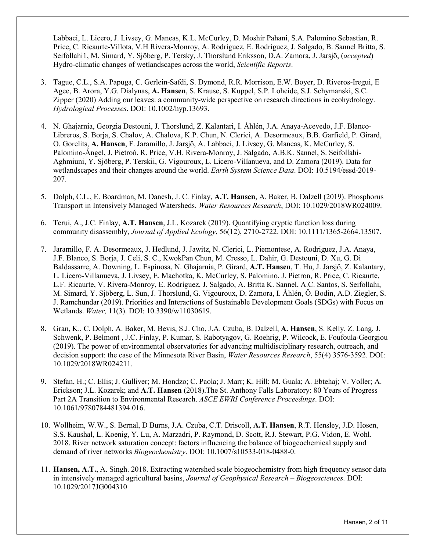Labbaci, L. Licero, J. Livsey, G. Maneas, K.L. McCurley, D. Moshir Pahani, S.A. Palomino Sebastian, R. Price, C. Ricaurte-Villota, V.H Rivera-Monroy, A. Rodriguez, E. Rodriguez, J. Salgado, B. Sannel Britta, S. Seifollahi1, M. Simard, Y. Sjöberg, P. Tersky, J. Thorslund Eriksson, D.A. Zamora, J. Jarsjö, (*accepted*) Hydro-climatic changes of wetlandscapes across the world, *Scientific Reports*.

- 3. Tague, C.L., S.A. Papuga, C. Gerlein-Safdi, S. Dymond, R.R. Morrison, E.W. Boyer, D. Riveros-Iregui, E Agee, B. Arora, Y.G. Dialynas, **A. Hansen**, S. Krause, S. Kuppel, S.P. Loheide, S.J. Schymanski, S.C. Zipper (2020) Adding our leaves: a community-wide perspective on research directions in ecohydrology. *Hydrological Processes*. DOI: 10.1002/hyp.13693.
- 4. N. Ghajarnia, Georgia Destouni, J. Thorslund, Z. Kalantari, I. Åhlén, J.A. Anaya-Acevedo, J.F. Blanco-Libreros, S. Borja, S. Chalov, A. Chalova, K.P. Chun, N. Clerici, A. Desormeaux, B.B. Garfield, P. Girard, O. Gorelits, **A. Hansen**, F. Jaramillo, J. Jarsjö, A. Labbaci, J. Livsey, G. Maneas, K. McCurley, S. Palomino-Ángel, J. Pietroń, R. Price, V.H. Rivera-Monroy, J. Salgado, A.B.K. Sannel, S. Seifollahi-Aghmiuni, Y. Sjöberg, P. Terskii, G. Vigouroux, L. Licero-Villanueva, and D. Zamora (2019). Data for wetlandscapes and their changes around the world. *Earth System Science Data*. DOI: 10.5194/essd-2019- 207.
- 5. Dolph, C.L., E. Boardman, M. Danesh, J. C. Finlay, **A.T. Hansen**, A. Baker, B. Dalzell (2019). Phosphorus Transport in Intensively Managed Watersheds, *Water Resources Research*, DOI: 10.1029/2018WR024009.
- 6. Terui, A., J.C. Finlay, **A.T. Hansen**, J.L. Kozarek (2019). Quantifying cryptic function loss during community disassembly, *Journal of Applied Ecology*, 56(12), 2710-2722. DOI: 10.1111/1365-2664.13507.
- 7. Jaramillo, F. A. Desormeaux, J. Hedlund, J. Jawitz, N. Clerici, L. Piemontese, A. Rodriguez, J.A. Anaya, J.F. Blanco, S. Borja, J. Celi, S. C., KwokPan Chun, M. Cresso, L. Dahir, G. Destouni, D. Xu, G. Di Baldassarre, A. Downing, L. Espinosa, N. Ghajarnia, P. Girard, **A.T. Hansen**, T. Hu, J. Jarsjö, Z. Kalantary, L. Licero-Villanueva, J. Livsey, E. Machotka, K. McCurley, S. Palomino, J. Pietron, R. Price, C. Ricaurte, L.F. Ricaurte, V. Rivera-Monroy, E. Rodríguez, J. Salgado, A. Britta K. Sannel, A.C. Santos, S. Seifollahi, M. Simard, Y. Sjöberg, L. Sun, J. Thorslund, G. Vigouroux, D. Zamora, I. Åhlén, Ö. Bodin, A.D. Ziegler, S. J. Ramchundar (2019). Priorities and Interactions of Sustainable Development Goals (SDGs) with Focus on Wetlands. *Water,* 11(3). DOI: 10.3390/w11030619.
- 8. Gran, K., C. Dolph, A. Baker, M. Bevis, S.J. Cho, J.A. Czuba, B. Dalzell, **A. Hansen**, S. Kelly, Z. Lang, J. Schwenk, P. Belmont , J.C. Finlay, P. Kumar, S. Rabotyagov, G. Roehrig, P. Wilcock, E. Foufoula-Georgiou (2019). The power of environmental observatories for advancing multidisciplinary research, outreach, and decision support: the case of the Minnesota River Basin, *Water Resources Research*, 55(4) 3576-3592. DOI: 10.1029/2018WR024211.
- 9. Stefan, H.; C. Ellis; J. Gulliver; M. Hondzo; C. Paola; J. Marr; K. Hill; M. Guala; A. Ebtehaj; V. Voller; A. Erickson; J.L. Kozarek; and **A.T. Hansen** (2018).The St. Anthony Falls Laboratory: 80 Years of Progress Part 2A Transition to Environmental Research. *ASCE EWRI Conference Proceedings*. DOI: 10.1061/9780784481394.016.
- 10. Wollheim, W.W., S. Bernal, D Burns, J.A. Czuba, C.T. Driscoll, **A.T. Hansen**, R.T. Hensley, J.D. Hosen, S.S. Kaushal, L. Koenig, Y. Lu, A. Marzadri, P. Raymond, D. Scott, R.J. Stewart, P.G. Vidon, E. Wohl. 2018. River network saturation concept: factors influencing the balance of biogeochemical supply and demand of river networks *Biogeochemistry*. DOI: 10.1007/s10533-018-0488-0.
- 11. **Hansen, A.T.**, A. Singh. 2018. Extracting watershed scale biogeochemistry from high frequency sensor data in intensively managed agricultural basins, *Journal of Geophysical Research – Biogeosciences.* DOI: 10.1029/2017JG004310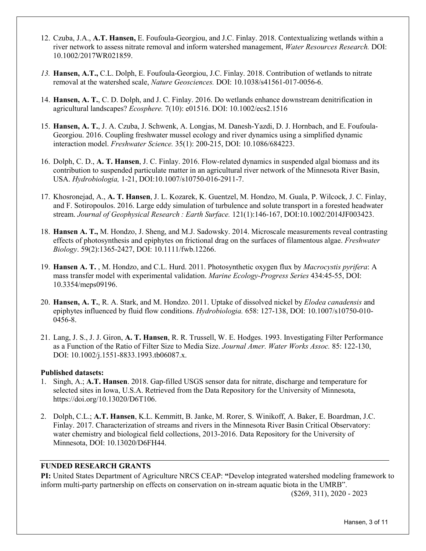- 12. Czuba, J.A., **A.T. Hansen,** E. Foufoula-Georgiou, and J.C. Finlay. 2018. Contextualizing wetlands within a river network to assess nitrate removal and inform watershed management, *Water Resources Research.* DOI: 10.1002/2017WR021859.
- *13.* **Hansen, A.T.,** C.L. Dolph, E. Foufoula-Georgiou, J.C. Finlay. 2018. Contribution of wetlands to nitrate removal at the watershed scale, *Nature Geosciences.* DOI: 10.1038/s41561-017-0056-6.
- 14. **Hansen, A. T.**, C. D. Dolph, and J. C. Finlay. 2016. Do wetlands enhance downstream denitrification in agricultural landscapes? *Ecosphere.* 7(10): e01516. DOI: 10.1002/ecs2.1516
- 15. **Hansen, A. T.**, J. A. Czuba, J. Schwenk, A. Longjas, M. Danesh-Yazdi, D. J. Hornbach, and E. Foufoula-Georgiou. 2016. Coupling freshwater mussel ecology and river dynamics using a simplified dynamic interaction model. *Freshwater Science.* 35(1): 200-215, DOI: 10.1086/684223.
- 16. Dolph, C. D., **A. T. Hansen**, J. C. Finlay. 2016. Flow-related dynamics in suspended algal biomass and its contribution to suspended particulate matter in an agricultural river network of the Minnesota River Basin, USA. *Hydrobiologia,* 1-21, DOI:10.1007/s10750-016-2911-7.
- 17. Khosronejad, A., **A. T. Hansen**, J. L. Kozarek, K. Guentzel, M. Hondzo, M. Guala, P. Wilcock, J. C. Finlay, and F. Sotiropoulos. 2016. Large eddy simulation of turbulence and solute transport in a forested headwater stream. *Journal of Geophysical Research : Earth Surface.* 121(1):146-167, DOI:10.1002/2014JF003423.
- 18. **Hansen A. T.,** M. Hondzo, J. Sheng, and M.J. Sadowsky. 2014. Microscale measurements reveal contrasting effects of photosynthesis and epiphytes on frictional drag on the surfaces of filamentous algae. *Freshwater Biology*. 59(2):1365-2427, DOI: 10.1111/fwb.12266.
- 19. **Hansen A. T.** , M. Hondzo, and C.L. Hurd. 2011. Photosynthetic oxygen flux by *Macrocystis pyrifera*: A mass transfer model with experimental validation. *Marine Ecology-Progress Series* 434:45-55, DOI: 10.3354/meps09196.
- 20. **Hansen, A. T.**, R. A. Stark, and M. Hondzo. 2011. Uptake of dissolved nickel by *Elodea canadensis* and epiphytes influenced by fluid flow conditions. *Hydrobiologia.* 658: 127-138, DOI: 10.1007/s10750-010- 0456-8.
- 21. Lang, J. S., J. J. Giron, **A. T. Hansen**, R. R. Trussell, W. E. Hodges. 1993. Investigating Filter Performance as a Function of the Ratio of Filter Size to Media Size. *Journal Amer. Water Works Assoc.* 85: 122-130, DOI: 10.1002/j.1551-8833.1993.tb06087.x.

## **Published datasets:**

- 1. Singh, A.; **A.T. Hansen**. 2018. Gap-filled USGS sensor data for nitrate, discharge and temperature for selected sites in Iowa, U.S.A. Retrieved from the Data Repository for the University of Minnesota, https://doi.org/10.13020/D6T106.
- 2. Dolph, C.L.; **A.T. Hansen**, K.L. Kemmitt, B. Janke, M. Rorer, S. Winikoff, A. Baker, E. Boardman, J.C. Finlay. 2017. Characterization of streams and rivers in the Minnesota River Basin Critical Observatory: water chemistry and biological field collections, 2013-2016. Data Repository for the University of Minnesota, DOI: 10.13020/D6FH44.

# **FUNDED RESEARCH GRANTS**

**PI:** United States Department of Agriculture NRCS CEAP: **"**Develop integrated watershed modeling framework to inform multi-party partnership on effects on conservation on in-stream aquatic biota in the UMRB".

(\$269, 311), 2020 - 2023

Hansen, 3 of 11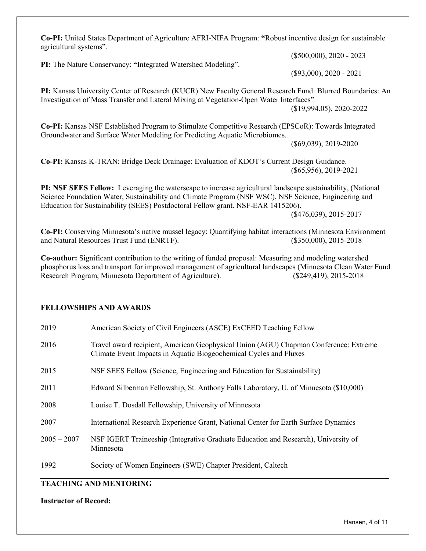**Co-PI:** United States Department of Agriculture AFRI-NIFA Program: **"**Robust incentive design for sustainable agricultural systems".

**PI:** The Nature Conservancy: **"**Integrated Watershed Modeling".

(\$500,000), 2020 - 2023

(\$93,000), 2020 - 2021

**PI:** Kansas University Center of Research (KUCR) New Faculty General Research Fund: Blurred Boundaries: An Investigation of Mass Transfer and Lateral Mixing at Vegetation-Open Water Interfaces"

(\$19,994.05), 2020-2022

**Co-PI:** Kansas NSF Established Program to Stimulate Competitive Research (EPSCoR): Towards Integrated Groundwater and Surface Water Modeling for Predicting Aquatic Microbiomes.

(\$69,039), 2019-2020

**Co-PI:** Kansas K-TRAN: Bridge Deck Drainage: Evaluation of KDOT's Current Design Guidance. (\$65,956), 2019-2021

**PI: NSF SEES Fellow:** Leveraging the waterscape to increase agricultural landscape sustainability, (National Science Foundation Water, Sustainability and Climate Program (NSF WSC), NSF Science, Engineering and Education for Sustainability (SEES) Postdoctoral Fellow grant. NSF-EAR 1415206). (\$476,039), 2015-2017

**Co-PI:** Conserving Minnesota's native mussel legacy: Quantifying habitat interactions (Minnesota Environment and Natural Resources Trust Fund (ENRTF). (\$350,000), 2015-2018

**Co-author:** Significant contribution to the writing of funded proposal: Measuring and modeling watershed phosphorus loss and transport for improved management of agricultural landscapes (Minnesota Clean Water Fund Research Program, Minnesota Department of Agriculture). (\$249,419), 2015-2018

# **FELLOWSHIPS AND AWARDS**

| 2019          | American Society of Civil Engineers (ASCE) ExCEED Teaching Fellow                                                                                         |  |
|---------------|-----------------------------------------------------------------------------------------------------------------------------------------------------------|--|
| 2016          | Travel award recipient, American Geophysical Union (AGU) Chapman Conference: Extreme<br>Climate Event Impacts in Aquatic Biogeochemical Cycles and Fluxes |  |
| 2015          | NSF SEES Fellow (Science, Engineering and Education for Sustainability)                                                                                   |  |
| 2011          | Edward Silberman Fellowship, St. Anthony Falls Laboratory, U. of Minnesota (\$10,000)                                                                     |  |
| 2008          | Louise T. Dosdall Fellowship, University of Minnesota                                                                                                     |  |
| 2007          | International Research Experience Grant, National Center for Earth Surface Dynamics                                                                       |  |
| $2005 - 2007$ | NSF IGERT Traineeship (Integrative Graduate Education and Research), University of<br>Minnesota                                                           |  |
| 1992          | Society of Women Engineers (SWE) Chapter President, Caltech                                                                                               |  |

# **TEACHING AND MENTORING**

**Instructor of Record:**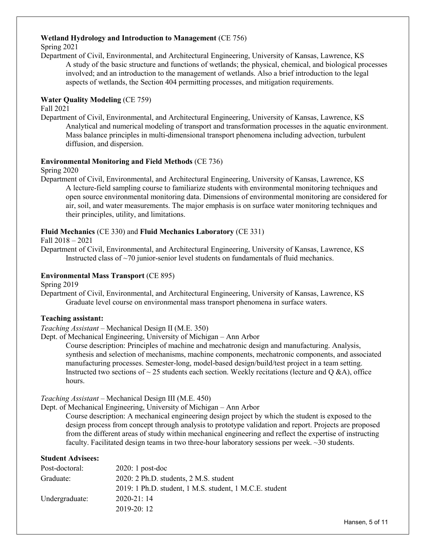# **Wetland Hydrology and Introduction to Management** (CE 756)

Spring 2021

Department of Civil, Environmental, and Architectural Engineering, University of Kansas, Lawrence, KS A study of the basic structure and functions of wetlands; the physical, chemical, and biological processes involved; and an introduction to the management of wetlands. Also a brief introduction to the legal aspects of wetlands, the Section 404 permitting processes, and mitigation requirements.

# **Water Quality Modeling** (CE 759)

Fall 2021

Department of Civil, Environmental, and Architectural Engineering, University of Kansas, Lawrence, KS Analytical and numerical modeling of transport and transformation processes in the aquatic environment. Mass balance principles in multi-dimensional transport phenomena including advection, turbulent diffusion, and dispersion.

## **Environmental Monitoring and Field Methods** (CE 736)

#### Spring 2020

Department of Civil, Environmental, and Architectural Engineering, University of Kansas, Lawrence, KS A lecture-field sampling course to familiarize students with environmental monitoring techniques and open source environmental monitoring data. Dimensions of environmental monitoring are considered for air, soil, and water measurements. The major emphasis is on surface water monitoring techniques and their principles, utility, and limitations.

## **Fluid Mechanics** (CE 330) and **Fluid Mechanics Laboratory** (CE 331)

Fall 2018 – 2021

Department of Civil, Environmental, and Architectural Engineering, University of Kansas, Lawrence, KS Instructed class of  $\sim$ 70 junior-senior level students on fundamentals of fluid mechanics.

## **Environmental Mass Transport** (CE 895)

Spring 2019

Department of Civil, Environmental, and Architectural Engineering, University of Kansas, Lawrence, KS Graduate level course on environmental mass transport phenomena in surface waters.

## **Teaching assistant:**

*Teaching Assistant* – Mechanical Design II (M.E. 350)

Dept. of Mechanical Engineering, University of Michigan – Ann Arbor

Course description: Principles of machine and mechatronic design and manufacturing. Analysis, synthesis and selection of mechanisms, machine components, mechatronic components, and associated manufacturing processes. Semester-long, model-based design/build/test project in a team setting. Instructed two sections of  $\sim$  25 students each section. Weekly recitations (lecture and Q &A), office hours.

## *Teaching Assistant* – Mechanical Design III (M.E. 450)

Dept. of Mechanical Engineering, University of Michigan – Ann Arbor

Course description: A mechanical engineering design project by which the student is exposed to the design process from concept through analysis to prototype validation and report. Projects are proposed from the different areas of study within mechanical engineering and reflect the expertise of instructing faculty. Facilitated design teams in two three-hour laboratory sessions per week. ~30 students.

#### **Student Advisees:**

| $2020:1$ post-doc                                       |
|---------------------------------------------------------|
| 2020: 2 Ph.D. students, 2 M.S. student                  |
| 2019: 1 Ph.D. student, 1 M.S. student, 1 M.C.E. student |
| $2020 - 21:14$                                          |
| $2019 - 20:12$                                          |
|                                                         |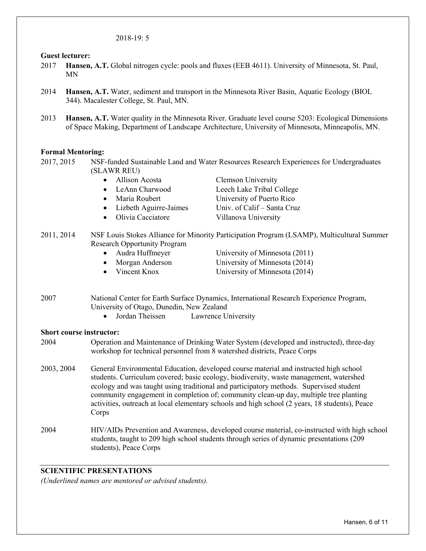#### 2018-19: 5

#### **Guest lecturer:**

- 2017 **Hansen, A.T.** Global nitrogen cycle: pools and fluxes (EEB 4611). University of Minnesota, St. Paul, MN
- 2014 **Hansen, A.T.** Water, sediment and transport in the Minnesota River Basin, Aquatic Ecology (BIOL 344). Macalester College, St. Paul, MN.
- 2013 **Hansen, A.T.** Water quality in the Minnesota River. Graduate level course 5203: Ecological Dimensions of Space Making, Department of Landscape Architecture, University of Minnesota, Minneapolis, MN.

#### **Formal Mentoring:**

2017, 2015 NSF-funded Sustainable Land and Water Resources Research Experiences for Undergraduates (SLAWR REU)

| $\sqrt{1}$ with the $\sqrt{1}$ |                          |                             |  |
|--------------------------------|--------------------------|-----------------------------|--|
|                                | • Allison Acosta         | <b>Clemson University</b>   |  |
|                                | $\bullet$ LeAnn Charwood | Leech Lake Tribal College   |  |
|                                | • Maria Roubert          | University of Puerto Rico   |  |
|                                | Lizbeth Aguirre-Jaimes   | Univ. of Calif – Santa Cruz |  |
|                                | • Olivia Cacciatore      | Villanova University        |  |

- 2011, 2014 NSF Louis Stokes Alliance for Minority Participation Program (LSAMP), Multicultural Summer Research Opportunity Program
	- Audra Huffmeyer University of Minnesota (2011) • Morgan Anderson University of Minnesota (2014)
	-

• Vincent Knox University of Minnesota (2014)

- 2007 National Center for Earth Surface Dynamics, International Research Experience Program, University of Otago, Dunedin, New Zealand
	- Jordan Theissen Lawrence University

## **Short course instructor:**

- 2004 Operation and Maintenance of Drinking Water System (developed and instructed), three-day workshop for technical personnel from 8 watershed districts, Peace Corps
- 2003, 2004 General Environmental Education, developed course material and instructed high school students. Curriculum covered; basic ecology, biodiversity, waste management, watershed ecology and was taught using traditional and participatory methods. Supervised student community engagement in completion of; community clean-up day, multiple tree planting activities, outreach at local elementary schools and high school (2 years, 18 students), Peace Corps
- 2004 HIV/AIDs Prevention and Awareness, developed course material, co-instructed with high school students, taught to 209 high school students through series of dynamic presentations (209 students), Peace Corps

## **SCIENTIFIC PRESENTATIONS**

*(Underlined names are mentored or advised students).*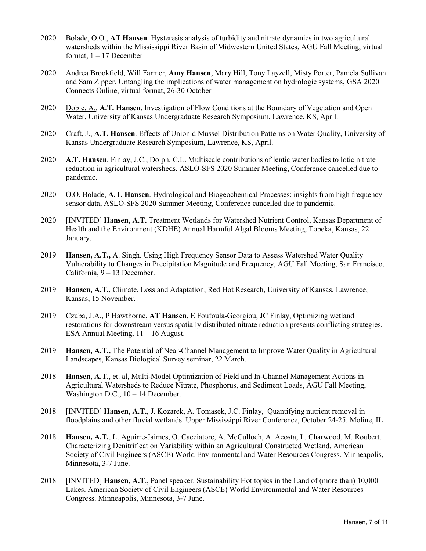- 2020 Bolade, O.O., **AT Hansen**. Hysteresis analysis of turbidity and nitrate dynamics in two agricultural watersheds within the Mississippi River Basin of Midwestern United States, AGU Fall Meeting, virtual format,  $1 - 17$  December
- 2020 Andrea Brookfield, Will Farmer, **Amy Hansen**, Mary Hill, Tony Layzell, Misty Porter, Pamela Sullivan and Sam Zipper. Untangling the implications of water management on hydrologic systems, GSA 2020 Connects Online, virtual format, 26-30 October
- 2020 Dobie, A., **A.T. Hansen**. Investigation of Flow Conditions at the Boundary of Vegetation and Open Water, University of Kansas Undergraduate Research Symposium, Lawrence, KS, April.
- 2020 Craft, J., **A.T. Hansen**. Effects of Unionid Mussel Distribution Patterns on Water Quality, University of Kansas Undergraduate Research Symposium, Lawrence, KS, April.
- 2020 **A.T. Hansen**, Finlay, J.C., Dolph, C.L. Multiscale contributions of lentic water bodies to lotic nitrate reduction in agricultural watersheds, ASLO-SFS 2020 Summer Meeting, Conference cancelled due to pandemic.
- 2020 O.O. Bolade, **A.T. Hansen**. Hydrological and Biogeochemical Processes: insights from high frequency sensor data, ASLO-SFS 2020 Summer Meeting, Conference cancelled due to pandemic.
- 2020 [INVITED] **Hansen, A.T.** Treatment Wetlands for Watershed Nutrient Control, Kansas Department of Health and the Environment (KDHE) Annual Harmful Algal Blooms Meeting, Topeka, Kansas, 22 January.
- 2019 **Hansen, A.T.,** A. Singh. Using High Frequency Sensor Data to Assess Watershed Water Quality Vulnerability to Changes in Precipitation Magnitude and Frequency, AGU Fall Meeting, San Francisco, California, 9 – 13 December.
- 2019 **Hansen, A.T.**, Climate, Loss and Adaptation, Red Hot Research, University of Kansas, Lawrence, Kansas, 15 November.
- 2019 Czuba, J.A., P Hawthorne, **AT Hansen**, E Foufoula-Georgiou, JC Finlay, Optimizing wetland restorations for downstream versus spatially distributed nitrate reduction presents conflicting strategies, ESA Annual Meeting, 11 – 16 August.
- 2019 **Hansen, A.T.,** The Potential of Near-Channel Management to Improve Water Quality in Agricultural Landscapes, Kansas Biological Survey seminar, 22 March.
- 2018 **Hansen, A.T.**, et. al, Multi-Model Optimization of Field and In-Channel Management Actions in Agricultural Watersheds to Reduce Nitrate, Phosphorus, and Sediment Loads, AGU Fall Meeting, Washington D.C.,  $10 - 14$  December.
- 2018 [INVITED] **Hansen, A.T.**, J. Kozarek, A. Tomasek, J.C. Finlay, Quantifying nutrient removal in floodplains and other fluvial wetlands. Upper Mississippi River Conference, October 24-25. Moline, IL
- 2018 **Hansen, A.T.**, L. Aguirre-Jaimes, O. Cacciatore, A. McCulloch, A. Acosta, L. Charwood, M. Roubert. Characterizing Denitrification Variability within an Agricultural Constructed Wetland. American Society of Civil Engineers (ASCE) World Environmental and Water Resources Congress. Minneapolis, Minnesota, 3-7 June.
- 2018 [INVITED] **Hansen, A.T**., Panel speaker. Sustainability Hot topics in the Land of (more than) 10,000 Lakes. American Society of Civil Engineers (ASCE) World Environmental and Water Resources Congress. Minneapolis, Minnesota, 3-7 June.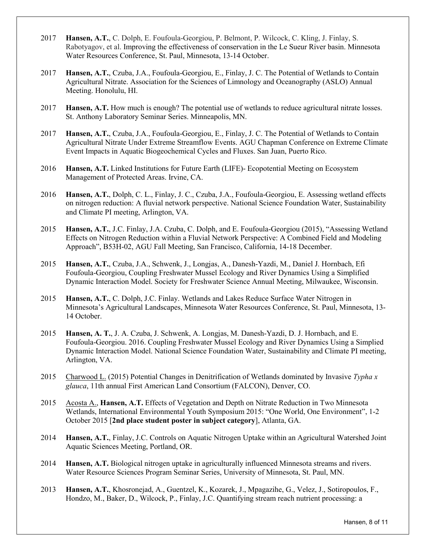- 2017 **Hansen, A.T.**, C. Dolph, E. Foufoula-Georgiou, P. Belmont, P. Wilcock, C. Kling, J. Finlay, S. Rabotyagov, et al. Improving the effectiveness of conservation in the Le Sueur River basin. Minnesota Water Resources Conference, St. Paul, Minnesota, 13-14 October.
- 2017 **Hansen, A.T.**, Czuba, J.A., Foufoula-Georgiou, E., Finlay, J. C. The Potential of Wetlands to Contain Agricultural Nitrate. Association for the Sciences of Limnology and Oceanography (ASLO) Annual Meeting. Honolulu, HI.
- 2017 **Hansen, A.T.** How much is enough? The potential use of wetlands to reduce agricultural nitrate losses. St. Anthony Laboratory Seminar Series. Minneapolis, MN.
- 2017 **Hansen, A.T.**, Czuba, J.A., Foufoula-Georgiou, E., Finlay, J. C. The Potential of Wetlands to Contain Agricultural Nitrate Under Extreme Streamflow Events. AGU Chapman Conference on Extreme Climate Event Impacts in Aquatic Biogeochemical Cycles and Fluxes. San Juan, Puerto Rico.
- 2016 **Hansen, A.T.** Linked Institutions for Future Earth (LIFE)- Ecopotential Meeting on Ecosystem Management of Protected Areas. Irvine, CA.
- 2016 **Hansen, A.T.**, Dolph, C. L., Finlay, J. C., Czuba, J.A., Foufoula-Georgiou, E. Assessing wetland effects on nitrogen reduction: A fluvial network perspective. National Science Foundation Water, Sustainability and Climate PI meeting, Arlington, VA.
- 2015 **Hansen, A.T.**, J.C. Finlay, J.A. Czuba, C. Dolph, and E. Foufoula-Georgiou (2015), "Assessing Wetland Effects on Nitrogen Reduction within a Fluvial Network Perspective: A Combined Field and Modeling Approach", B53H-02, AGU Fall Meeting, San Francisco, California, 14-18 December.
- 2015 **Hansen, A.T.**, Czuba, J.A., Schwenk, J., Longjas, A., Danesh-Yazdi, M., Daniel J. Hornbach, Efi Foufoula-Georgiou, Coupling Freshwater Mussel Ecology and River Dynamics Using a Simplified Dynamic Interaction Model. Society for Freshwater Science Annual Meeting, Milwaukee, Wisconsin.
- 2015 **Hansen, A.T.**, C. Dolph, J.C. Finlay. Wetlands and Lakes Reduce Surface Water Nitrogen in Minnesota's Agricultural Landscapes, Minnesota Water Resources Conference, St. Paul, Minnesota, 13- 14 October.
- 2015 **Hansen, A. T.**, J. A. Czuba, J. Schwenk, A. Longjas, M. Danesh-Yazdi, D. J. Hornbach, and E. Foufoula-Georgiou. 2016. Coupling Freshwater Mussel Ecology and River Dynamics Using a Simplied Dynamic Interaction Model. National Science Foundation Water, Sustainability and Climate PI meeting, Arlington, VA.
- 2015 Charwood L. (2015) Potential Changes in Denitrification of Wetlands dominated by Invasive *Typha x glauca*, 11th annual First American Land Consortium (FALCON), Denver, CO.
- 2015 Acosta A., **Hansen, A.T.** Effects of Vegetation and Depth on Nitrate Reduction in Two Minnesota Wetlands, International Environmental Youth Symposium 2015: "One World, One Environment", 1-2 October 2015 [**2nd place student poster in subject category**], Atlanta, GA.
- 2014 **Hansen, A.T.**, Finlay, J.C. Controls on Aquatic Nitrogen Uptake within an Agricultural Watershed Joint Aquatic Sciences Meeting, Portland, OR.
- 2014 **Hansen, A.T.** Biological nitrogen uptake in agriculturally influenced Minnesota streams and rivers. Water Resource Sciences Program Seminar Series, University of Minnesota, St. Paul, MN.
- 2013 **Hansen, A.T.**, Khosronejad, A., Guentzel, K., Kozarek, J., Mpagazihe, G., Velez, J., Sotiropoulos, F., Hondzo, M., Baker, D., Wilcock, P., Finlay, J.C. Quantifying stream reach nutrient processing: a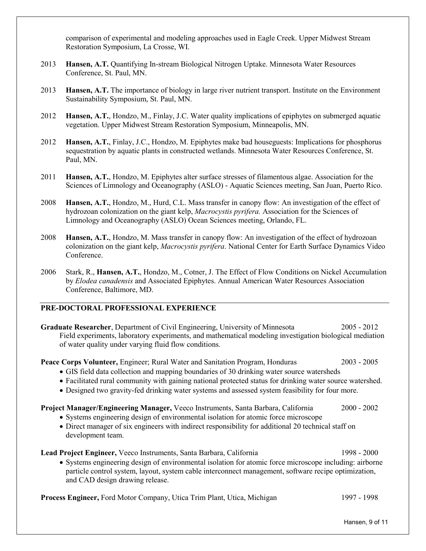comparison of experimental and modeling approaches used in Eagle Creek. Upper Midwest Stream Restoration Symposium, La Crosse, WI.

- 2013 **Hansen, A.T.** Quantifying In-stream Biological Nitrogen Uptake. Minnesota Water Resources Conference, St. Paul, MN.
- 2013 **Hansen, A.T.** The importance of biology in large river nutrient transport. Institute on the Environment Sustainability Symposium, St. Paul, MN.
- 2012 **Hansen, A.T.**, Hondzo, M., Finlay, J.C. Water quality implications of epiphytes on submerged aquatic vegetation. Upper Midwest Stream Restoration Symposium, Minneapolis, MN.
- 2012 **Hansen, A.T.**, Finlay, J.C., Hondzo, M. Epiphytes make bad houseguests: Implications for phosphorus sequestration by aquatic plants in constructed wetlands. Minnesota Water Resources Conference, St. Paul, MN.
- 2011 **Hansen, A.T.**, Hondzo, M. Epiphytes alter surface stresses of filamentous algae. Association for the Sciences of Limnology and Oceanography (ASLO) - Aquatic Sciences meeting, San Juan, Puerto Rico.
- 2008 **Hansen, A.T.**, Hondzo, M., Hurd, C.L. Mass transfer in canopy flow: An investigation of the effect of hydrozoan colonization on the giant kelp, *Macrocystis pyrifera.* Association for the Sciences of Limnology and Oceanography (ASLO) Ocean Sciences meeting, Orlando, FL.
- 2008 **Hansen, A.T.**, Hondzo, M. Mass transfer in canopy flow: An investigation of the effect of hydrozoan colonization on the giant kelp, *Macrocystis pyrifera*. National Center for Earth Surface Dynamics Video Conference.
- 2006 Stark, R., **Hansen, A.T.**, Hondzo, M., Cotner, J. The Effect of Flow Conditions on Nickel Accumulation by *Elodea canadensis* and Associated Epiphytes. Annual American Water Resources Association Conference, Baltimore, MD.

## **PRE-DOCTORAL PROFESSIONAL EXPERIENCE**

**Graduate Researcher**, Department of Civil Engineering, University of Minnesota 2005 - 2012 Field experiments, laboratory experiments, and mathematical modeling investigation biological mediation of water quality under varying fluid flow conditions.

**Peace Corps Volunteer,** Engineer; Rural Water and Sanitation Program, Honduras 2003 - 2005

- GIS field data collection and mapping boundaries of 30 drinking water source watersheds
- Facilitated rural community with gaining national protected status for drinking water source watershed.
- Designed two gravity-fed drinking water systems and assessed system feasibility for four more.

## **Project Manager/Engineering Manager,** Veeco Instruments, Santa Barbara, California 2000 - 2002

- Systems engineering design of environmental isolation for atomic force microscope
- Direct manager of six engineers with indirect responsibility for additional 20 technical staff on development team.

**Lead Project Engineer,** Veeco Instruments, Santa Barbara, California 1998 - 2000 • Systems engineering design of environmental isolation for atomic force microscope including: airborne

particle control system, layout, system cable interconnect management, software recipe optimization, and CAD design drawing release.

**Process Engineer,** Ford Motor Company, Utica Trim Plant, Utica, Michigan 1997 - 1998

Hansen, 9 of 11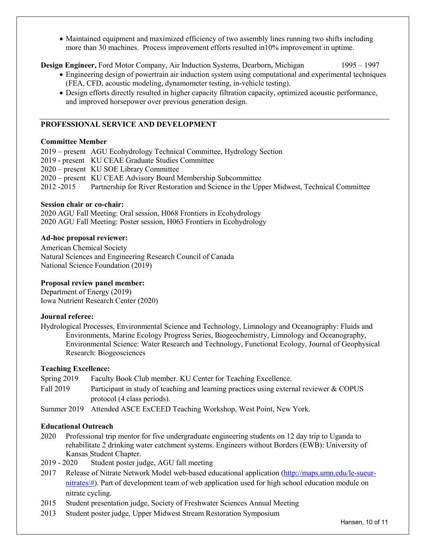• Maintained equipment and maximized efficiency of two assembly lines running two shifts including more than 30 machines. Process improvement efforts resulted in10% improvement in uptime.

**Design Engineer, Ford Motor Company, Air Induction Systems, Dearborn, Michigan** 1995 – 1997

- Engineering design of powertrain air induction system using computational and experimental techniques (FEA, CFD, acoustic modeling, dynamometer testing, in-vehicle testing).
- Design efforts directly resulted in higher capacity filtration capacity, optimized acoustic performance, and improved horsepower over previous generation design.

# **PROFESSIONAL SERVICE AND DEVELOPMENT**

## **Committee Member**

2019 – present AGU Ecohydrology Technical Committee, Hydrology Section

- 2019 present KU CEAE Graduate Studies Committee
- 2020 present KU SOE Library Committee
- 2020 present KU CEAE Advisory Board Membership Subcommittee

2012 -2015 Partnership for River Restoration and Science in the Upper Midwest, Technical Committee

## **Session chair or co-chair:**

2020 AGU Fall Meeting: Oral session, H068 Frontiers in Ecohydrology 2020 AGU Fall Meeting: Poster session, H063 Frontiers in Ecohydrology

## **Ad-hoc proposal reviewer:**

American Chemical Society Natural Sciences and Engineering Research Council of Canada National Science Foundation (2019)

# **Proposal review panel member:**

Department of Energy (2019) Iowa Nutrient Research Center (2020)

### **Journal referee:**

Hydrological Processes, Environmental Science and Technology, Limnology and Oceanography: Fluids and Environments, Marine Ecology Progress Series, Biogeochemistry, Limnology and Oceanography, Environmental Science: Water Research and Technology, Functional Ecology, Journal of Geophysical Research: Biogeosciences

## **Teaching Excellence:**

Spring 2019 Faculty Book Club member. KU Center for Teaching Excellence.

Fall 2019 Participant in study of teaching and learning practices using external reviewer & COPUS protocol (4 class periods).

Summer 2019 Attended ASCE ExCEED Teaching Workshop, West Point, New York.

## **Educational Outreach**

- 2020 Professional trip mentor for five undergraduate engineering students on 12 day trip to Uganda to rehabilitate 2 drinking water catchment systems. Engineers without Borders (EWB): University of Kansas Student Chapter.
- 2019 2020 Student poster judge, AGU fall meeting
- 2017 Release of Nitrate Network Model web-based educational application [\(http://maps.umn.edu/le-sueur](http://maps.umn.edu/le-sueur-nitrates/)[nitrates/#\)](http://maps.umn.edu/le-sueur-nitrates/). Part of development team of web application used for high school education module on nitrate cycling.
- 2015 Student presentation judge, Society of Freshwater Sciences Annual Meeting
- 2013 Student poster judge, Upper Midwest Stream Restoration Symposium